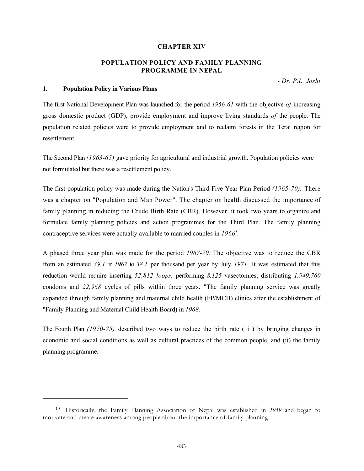#### CHAPTER XIV

# POPULATION POLICY AND FAMILY PLANNING PROGRAMME IN NEPAL

- Dr. P.L. Joshi

# 1. Population Policy in Various Plans

The first National Development Plan was launched for the period 1956-61 with the objective of increasing gross domestic product (GDP), provide employment and improve living standards of the people. The population related policies were to provide employment and to reclaim forests in the Terai region for resettlement.

The Second Plan (1963-65) gave priority for agricultural and industrial growth. Population policies were not formulated but there was a resettlement policy.

The first population policy was made during the Nation's Third Five Year Plan Period (1965-70). There was a chapter on "Population and Man Power". The chapter on health discussed the importance of family planning in reducing the Crude Birth Rate (CBR). However, it took two years to organize and formulate family planning policies and action programmes for the Third Plan. The family planning contraceptive services were actually available to married couples in  $1966<sup>1</sup>$ .

A phased three year plan was made for the period 1967-70. The objective was to reduce the CBR from an estimated 39.1 in 1967 to 38.1 per thousand per year by July 1971. It was estimated that this reduction would require inserting 52,812 loops, performing 8,125 vasectomies, distributing 1,949,760 condoms and 22,968 cycles of pills within three years. "The family planning service was greatly expanded through family planning and maternal child health (FP/MCH) clinics after the establishment of "Family Planning and Maternal Child Health Board) in 1968.

The Fourth Plan (1970-75) described two ways to reduce the birth rate ( i ) by bringing changes in economic and social conditions as well as cultural practices of the common people, and (ii) the family planning programme.

<sup>&</sup>lt;sup>1</sup>' Historically, the Family Planning Association of Nepal was established in 1959 and began to motivate and create awareness among people about the importance of family planning.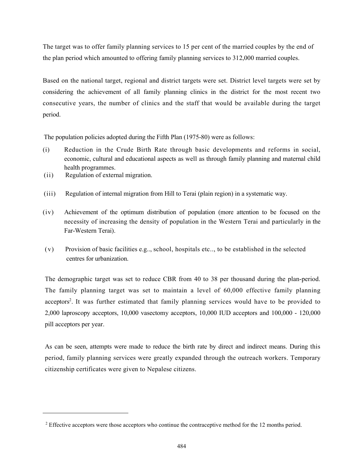The target was to offer family planning services to 15 per cent of the married couples by the end of the plan period which amounted to offering family planning services to 312,000 married couples.

Based on the national target, regional and district targets were set. District level targets were set by considering the achievement of all family planning clinics in the district for the most recent two consecutive years, the number of clinics and the staff that would be available during the target period.

The population policies adopted during the Fifth Plan (1975-80) were as follows:

- (i) Reduction in the Crude Birth Rate through basic developments and reforms in social, economic, cultural and educational aspects as well as through family planning and maternal child health programmes.
- (ii) Regulation of external migration.
- (iii) Regulation of internal migration from Hill to Terai (plain region) in a systematic way.
- (iv) Achievement of the optimum distribution of population (more attention to be focused on the necessity of increasing the density of population in the Western Terai and particularly in the Far-Western Terai).
- (v) Provision of basic facilities e.g.., school, hospitals etc.., to be established in the selected centres for urbanization.

The demographic target was set to reduce CBR from 40 to 38 per thousand during the plan-period. The family planning target was set to maintain a level of 60,000 effective family planning acceptors<sup>2</sup>. It was further estimated that family planning services would have to be provided to 2,000 laproscopy acceptors, 10,000 vasectomy acceptors, 10,000 IUD acceptors and 100,000 - 120,000 pill acceptors per year.

As can be seen, attempts were made to reduce the birth rate by direct and indirect means. During this period, family planning services were greatly expanded through the outreach workers. Temporary citizenship certificates were given to Nepalese citizens.

<sup>&</sup>lt;sup>2</sup> Effective acceptors were those acceptors who continue the contraceptive method for the 12 months period.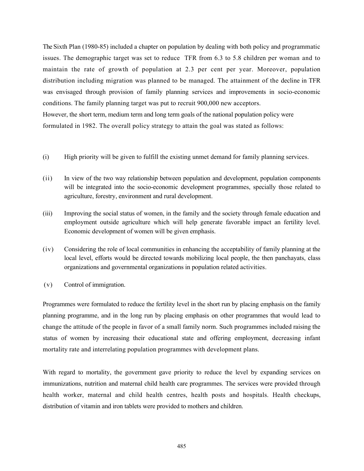The Sixth Plan (1980-85) included a chapter on population by dealing with both policy and programmatic issues. The demographic target was set to reduce TFR from 6.3 to 5.8 children per woman and to maintain the rate of growth of population at 2.3 per cent per year. Moreover, population distribution including migration was planned to be managed. The attainment of the decline in TFR was envisaged through provision of family planning services and improvements in socio-economic conditions. The family planning target was put to recruit 900,000 new acceptors. However, the short term, medium term and long term goals of the national population policy were

formulated in 1982. The overall policy strategy to attain the goal was stated as follows:

- (i) High priority will be given to fulfill the existing unmet demand for family planning services.
- (ii) In view of the two way relationship between population and development, population components will be integrated into the socio-economic development programmes, specially those related to agriculture, forestry, environment and rural development.
- (iii) Improving the social status of women, in the family and the society through female education and employment outside agriculture which will help generate favorable impact an fertility level. Economic development of women will be given emphasis.
- (iv) Considering the role of local communities in enhancing the acceptability of family planning at the local level, efforts would be directed towards mobilizing local people, the then panchayats, class organizations and governmental organizations in population related activities.
- (v) Control of immigration.

Programmes were formulated to reduce the fertility level in the short run by placing emphasis on the family planning programme, and in the long run by placing emphasis on other programmes that would lead to change the attitude of the people in favor of a small family norm. Such programmes included raising the status of women by increasing their educational state and offering employment, decreasing infant mortality rate and interrelating population programmes with development plans.

With regard to mortality, the government gave priority to reduce the level by expanding services on immunizations, nutrition and maternal child health care programmes. The services were provided through health worker, maternal and child health centres, health posts and hospitals. Health checkups, distribution of vitamin and iron tablets were provided to mothers and children.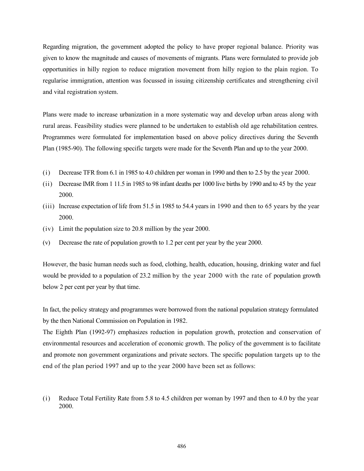Regarding migration, the government adopted the policy to have proper regional balance. Priority was given to know the magnitude and causes of movements of migrants. Plans were formulated to provide job opportunities in hilly region to reduce migration movement from hilly region to the plain region. To regularise immigration, attention was focussed in issuing citizenship certificates and strengthening civil and vital registration system.

Plans were made to increase urbanization in a more systematic way and develop urban areas along with rural areas. Feasibility studies were planned to be undertaken to establish old age rehabilitation centres. Programmes were formulated for implementation based on above policy directives during the Seventh Plan (1985-90). The following specific targets were made for the Seventh Plan and up to the year 2000.

- (i) Decrease TFR from 6.1 in 1985 to 4.0 children per woman in 1990 and then to 2.5 by the year 2000.
- (ii) Decrease IMR from 1 11.5 in 1985 to 98 infant deaths per 1000 live births by 1990 and to 45 by the year 2000.
- (iii) Increase expectation of life from 51.5 in 1985 to 54.4 years in 1990 and then to 65 years by the year 2000.
- (iv) Limit the population size to 20.8 million by the year 2000.
- (v) Decrease the rate of population growth to 1.2 per cent per year by the year 2000.

However, the basic human needs such as food, clothing, health, education, housing, drinking water and fuel would be provided to a population of 23.2 million by the year 2000 with the rate of population growth below 2 per cent per year by that time.

In fact, the policy strategy and programmes were borrowed from the national population strategy formulated by the then National Commission on Population in 1982.

The Eighth Plan (1992-97) emphasizes reduction in population growth, protection and conservation of environmental resources and acceleration of economic growth. The policy of the government is to facilitate and promote non government organizations and private sectors. The specific population targets up to the end of the plan period 1997 and up to the year 2000 have been set as follows:

(i) Reduce Total Fertility Rate from 5.8 to 4.5 children per woman by 1997 and then to 4.0 by the year 2000.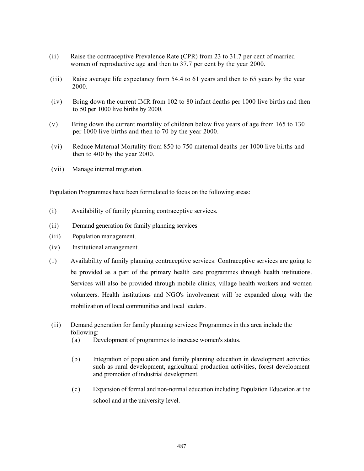- (ii) Raise the contraceptive Prevalence Rate (CPR) from 23 to 31.7 per cent of married women of reproductive age and then to 37.7 per cent by the year 2000.
- (iii) Raise average life expectancy from 54.4 to 61 years and then to 65 years by the year 2000.
- (iv) Bring down the current IMR from 102 to 80 infant deaths per 1000 live births and then to 50 per 1000 live births by 2000.
- (v) Bring down the current mortality of children below five years of age from 165 to 130 per 1000 live births and then to 70 by the year 2000.
- (vi) Reduce Maternal Mortality from 850 to 750 maternal deaths per 1000 live births and then to 400 by the year 2000.
- (vii) Manage internal migration.

Population Programmes have been formulated to focus on the following areas:

- (i) Availability of family planning contraceptive services.
- (ii) Demand generation for family planning services
- (iii) Population management.
- (iv) Institutional arrangement.
- (i) Availability of family planning contraceptive services: Contraceptive services are going to be provided as a part of the primary health care programmes through health institutions. Services will also be provided through mobile clinics, village health workers and women volunteers. Health institutions and NGO's involvement will be expanded along with the mobilization of local communities and local leaders.
- (ii) Demand generation for family planning services: Programmes in this area include the following:
	- (a) Development of programmes to increase women's status.
	- (b) Integration of population and family planning education in development activities such as rural development, agricultural production activities, forest development and promotion of industrial development.
	- (c) Expansion of formal and non-normal education including Population Education at the school and at the university level.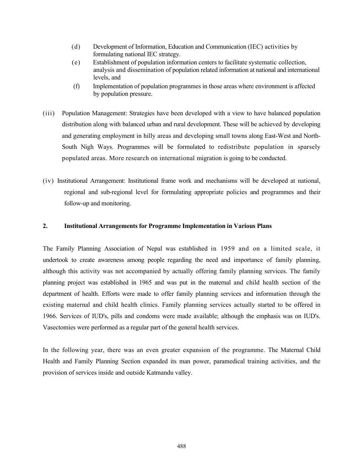- (d) Development of Information, Education and Communication (IEC) activities by formulating national IEC strategy.
- (e) Establishment of population information centers to facilitate systematic collection, analysis and dissemination of population related information at national and international levels, and
- (f) Implementation of population programmes in those areas where environment is affected by population pressure.
- (iii) Population Management: Strategies have been developed with a view to have balanced population distribution along with balanced urban and rural development. These will be achieved by developing and generating employment in hilly areas and developing small towns along East-West and North-South Nigh Ways. Programmes will be formulated to redistribute population in sparsely populated areas. More research on international migration is going to be conducted.
- (iv) Institutional Arrangement: Institutional frame work and mechanisms will be developed at national, regional and sub-regional level for formulating appropriate policies and programmes and their follow-up and monitoring.

## 2. Institutional Arrangements for Programme Implementation in Various Plans

The Family Planning Association of Nepal was established in 1959 and on a limited scale, it undertook to create awareness among people regarding the need and importance of family planning, although this activity was not accompanied by actually offering family planning services. The family planning project was established in 1965 and was put in the maternal and child health section of the department of health. Efforts were made to offer family planning services and information through the existing maternal and child health clinics. Family planning services actually started to be offered in 1966. Services of IUD's, pills and condoms were made available; although the emphasis was on IUD's. Vasectomies were performed as a regular part of the general health services.

In the following year, there was an even greater expansion of the programme. The Maternal Child Health and Family Planning Section expanded its man power, paramedical training activities, and the provision of services inside and outside Katmandu valley.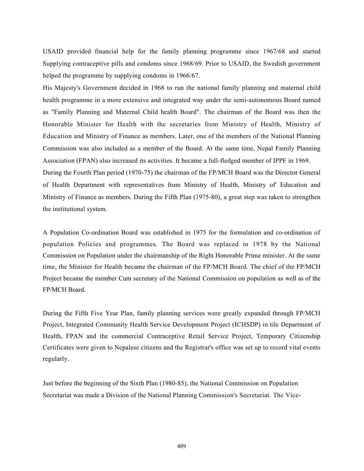USAID provided financial help for the family planning programme since 1967/68 and started Supplying contraceptive pills and condoms since 1968/69. Prior to USAID, the Swedish government helped the programme by supplying condoms in 1966/67.

His Majesty's Government decided in 1968 to run the national family planning and maternal child health programme in a more extensive and integrated way under the semi-autonomous Board named as "Family Planning and Maternal Child health Board". The chairman of the Board was then the Honorable Minister for Health with the secretaries from Ministry of Health, Ministry of Education and Ministry of Finance as members. Later, one of the members of the National Planning Commission was also included as a member of the Board. At the same time, Nepal Family Planning Association (FPAN) also increased its activities. It became a full-fledged member of IPPF in 1969.

During the Fourth Plan period (1970-75) the chairman of the FP/MCH Board was the Director General of Health Department with representatives from Ministry of Health, Ministry of' Education and Ministry of Finance as members. During the Fifth Plan (1975-80), a great step was taken to strengthen the institutional system.

A Population Co-ordination Board was established in 1975 for the formulation and co-ordination of population Policies and programmes. The Board was replaced in 1978 by the National Commission on Population under the chairmanship of the Right Honorable Prime minister. At the same time, the Minister for Health became the chairman of the FP/MCH Board. The chief of the FP/MCH Project became the member Cum secretary of the National Commission on population as well as of the FP/MCH Board.

During the Fifth Five Year Plan, family planning services were greatly expanded through FP/MCH Project, Integrated Community Health Service Development Project (ICHSDP) in tile Department of Health, FPAN and the commercial Contraceptive Retail Service Project, Temporary Citizenship Certificates were given to Nepalese citizens and the Registrar's office was set up to record vital events regularly.

Just before the beginning of the Sixth Plan (1980-85), the National Commission on Population Secretariat was made a Division of the National Planning Commission's Secretariat. The Vice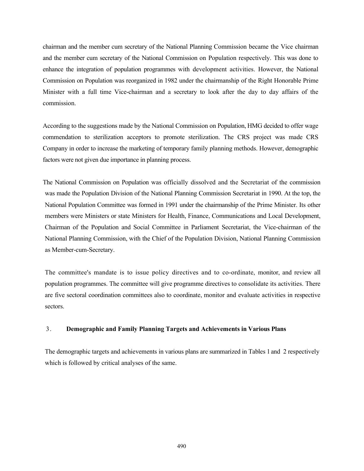chairman and the member cum secretary of the National Planning Commission became the Vice chairman and the member cum secretary of the National Commission on Population respectively. This was done to enhance the integration of population programmes with development activities. However, the National Commission on Population was reorganized in 1982 under the chairmanship of the Right Honorable Prime Minister with a full time Vice-chairman and a secretary to look after the day to day affairs of the commission.

According to the suggestions made by the National Commission on Population, HMG decided to offer wage commendation to sterilization acceptors to promote sterilization. The CRS project was made CRS Company in order to increase the marketing of temporary family planning methods. However, demographic factors were not given due importance in planning process.

The National Commission on Population was officially dissolved and the Secretariat of the commission was made the Population Division of the National Planning Commission Secretariat in 1990. At the top, the National Population Committee was formed in 1991 under the chairmanship of the Prime Minister. Its other members were Ministers or state Ministers for Health, Finance, Communications and Local Development, Chairman of the Population and Social Committee in Parliament Secretariat, the Vice-chairman of the National Planning Commission, with the Chief of the Population Division, National Planning Commission as Member-cum-Secretary.

The committee's mandate is to issue policy directives and to co-ordinate, monitor, and review all population programmes. The committee will give programme directives to consolidate its activities. There are five sectoral coordination committees also to coordinate, monitor and evaluate activities in respective sectors.

#### 3. Demographic and Family Planning Targets and Achievements in Various Plans

The demographic targets and achievements in various plans are summarized in Tables 1 and 2 respectively which is followed by critical analyses of the same.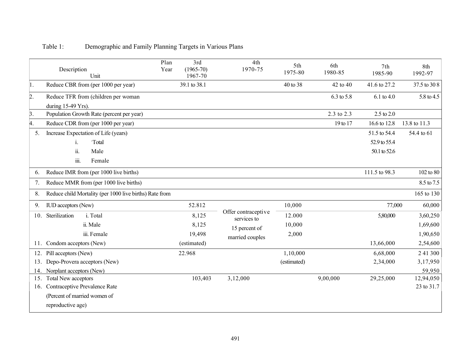|     | Plan<br>Description<br>Year<br>Unit                       | 3rd<br>$(1965 - 70)$<br>1967-70 | 4th<br>1970-75                                                         | 5th<br>1975-80 | 6th<br>1980-85 | 7th<br>1985-90        | 8th<br>1992-97 |
|-----|-----------------------------------------------------------|---------------------------------|------------------------------------------------------------------------|----------------|----------------|-----------------------|----------------|
| 1.  | Reduce CBR from (per 1000 per year)                       | 39.1 to 38.1                    |                                                                        | 40 to 38       | 42 to 40       | 41.6 to 27.2          | 37.5 to 30 8   |
| 2.  | Reduce TFR from (children per woman<br>during 15-49 Yrs). |                                 |                                                                        |                | 6.3 to 5.8     | 6.1 to 4.0            | 5.8 to 4.5     |
| 3.  | Population Growth Rate (percent per year)                 |                                 |                                                                        |                | 2.3 to 2.3     | $2.5 \text{ to } 2.0$ |                |
| 4.  | Reduce CDR from (per 1000 per year)                       |                                 |                                                                        |                | 19 to 17       | 16.6 to 12.8          | 13.8 to 11.3   |
| 5.  | Increase Expectation of Life (years)                      |                                 |                                                                        |                |                | 51.5 to 54.4          | 54.4 to 61     |
|     | Total<br>i.                                               |                                 |                                                                        |                |                | 52.9 to 55.4          |                |
|     | ii.<br>Male                                               |                                 |                                                                        |                |                | 50.1 to 52.6          |                |
|     | $\dddot{\mathbf{m}}$ .<br>Female                          |                                 |                                                                        |                |                |                       |                |
| 6.  | Reduce IMR from (per 1000 live births)                    |                                 |                                                                        |                |                | 111.5 to 98.3         | 102 to 80      |
| 7.  | Reduce MMR from (per 1000 live births)                    |                                 |                                                                        |                |                |                       | 8.5 to 7.5     |
| 8.  | Reduce child Mortality (per 1000 live births) Rate from   |                                 |                                                                        |                |                |                       | 165 to 130     |
| 9.  | <b>IUD</b> acceptors (New)                                | 52.812                          | Offer contraceptive<br>services to<br>15 percent of<br>married couples | 10,000         |                | 77,000                | 60,000         |
| 10. | Sterilization<br>i. Total                                 | 8,125                           |                                                                        | 12.000         |                | 5,80,000              | 3,60,250       |
|     | ii. Male                                                  | 8,125                           |                                                                        | 10,000         |                |                       | 1,69,600       |
|     | iii. Female                                               | 19,498                          |                                                                        | 2,000          |                |                       | 1,90,650       |
|     | 11. Condom acceptors (New)                                | (estimated)                     |                                                                        |                |                | 13,66,000             | 2,54,600       |
|     | 12. Pill acceptors (New)                                  | 22.968                          |                                                                        | 1,10,000       |                | 6,68,000              | 2 41 300       |
| 13. | Depo-Provera acceptors (New)                              |                                 |                                                                        | (estimated)    |                | 2,34,000              | 3,17,950       |
| 14. | Norplant acceptors (New)                                  |                                 |                                                                        |                |                |                       | 59,950         |
| 15. | Total New acceptors                                       | 103,403                         | 3,12,000                                                               |                | 9,00,000       | 29,25,000             | 12,94,050      |
| 16. | Contraceptive Prevalence Rate                             |                                 |                                                                        |                |                |                       | 23 to 31.7     |
|     | (Percent of married women of                              |                                 |                                                                        |                |                |                       |                |
|     | reproductive age)                                         |                                 |                                                                        |                |                |                       |                |

# Table 1: Demographic and Family Planning Targets in Various Plans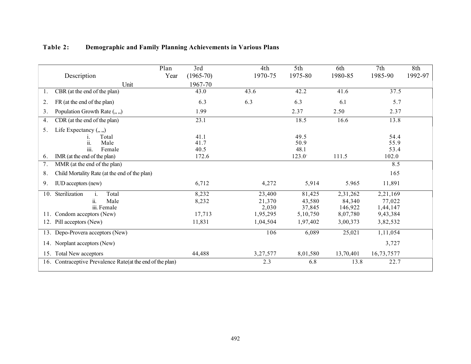|     | Description                                               | Plan<br>Year | 3rd<br>$(1965 - 70)$ | 4th<br>1970-75 | 5th<br>1975-80 | 6th<br>1980-85 | 7th<br>1985-90 | 8th<br>1992-97 |
|-----|-----------------------------------------------------------|--------------|----------------------|----------------|----------------|----------------|----------------|----------------|
|     | Unit                                                      |              | 1967-70              |                |                |                |                |                |
| 1.  | CBR (at the end of the plan)                              |              | 43.0                 | 43.6           | 42.2           | 41.6           | 37.5           |                |
| 2.  | FR (at the end of the plan)                               |              | 6.3                  | 6.3            | 6.3            | 6.1            | 5.7            |                |
| 3.  | Population Growth Rate $(., .)$                           |              | 1.99                 |                | 2.37           | 2.50           | 2.37           |                |
| 4.  | CDR (at the end of the plan)                              |              | 23.1                 |                | 18.5           | 16.6           | 13.8           |                |
| 5.  | Life Expectancy $(,,.)$                                   |              |                      |                |                |                |                |                |
|     | Total                                                     |              | 41.1                 |                | 49.5           |                | 54.4           |                |
|     | Male<br>11.                                               |              | 41.7                 |                | 50.9           |                | 55.9           |                |
|     | iii.<br>Female                                            |              | 40.5                 |                | 48.1           |                | 53.4           |                |
| 6.  | IMR (at the end of the plan)                              |              | 172.6                |                | 123.0          | 111.5          | 102.0          |                |
| 7.  | MMR (at the end of the plan)                              |              |                      |                |                |                | 8.5            |                |
| 8.  | Child Mortality Rate (at the end of the plan)             |              |                      |                |                |                | 165            |                |
| 9.  | <b>IUD</b> acceptors (new)                                |              | 6,712                | 4,272          | 5,914          | 5.965          | 11,891         |                |
| 10. | Sterilization<br>Total                                    |              | 8,232                | 23,400         | 81,425         | 2,31,262       | 2,21,169       |                |
|     | ii.<br>Male                                               |              | 8,232                | 21,370         | 43,580         | 84,340         | 77,022         |                |
|     | iii. Female                                               |              |                      | 2,030          | 37,845         | 146,922        | 1,44,147       |                |
| 11. | Condom acceptors (New)                                    |              | 17,713               | 1,95,295       | 5,10,750       | 8,07,780       | 9,43,384       |                |
|     | 12. Pill acceptors (New)                                  |              | 11,831               | 1,04,504       | 1,97,402       | 3,00,373       | 3,82,532       |                |
|     | 13. Depo-Provera acceptors (New)                          |              |                      | 106            | 6,089          | 25,021         | 1,11,054       |                |
|     | 14. Norplant acceptors (New)                              |              |                      |                |                |                | 3,727          |                |
|     | 15. Total New acceptors                                   |              | 44,488               | 3,27,577       | 8,01,580       | 13,70,401      | 16,73,7577     |                |
|     | 16. Contraceptive Prevalence Rate(at the end of the plan) |              |                      | 2.3            | 6.8            | 13.8           | 22.7           |                |

# Table 2: Demographic and Family Planning Achievements in Various Plans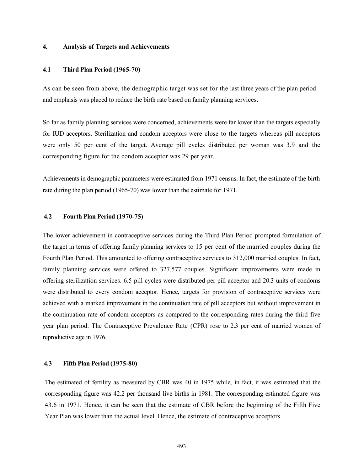#### 4. Analysis of Targets and Achievements

### 4.1 Third Plan Period (1965-70)

As can be seen from above, the demographic target was set for the last three years of the plan period and emphasis was placed to reduce the birth rate based on family planning services.

So far as family planning services were concerned, achievements were far lower than the targets especially for IUD acceptors. Sterilization and condom acceptors were close to the targets whereas pill acceptors were only 50 per cent of the target. Average pill cycles distributed per woman was 3.9 and the corresponding figure for the condom acceptor was 29 per year.

Achievements in demographic parameters were estimated from 1971 census. In fact, the estimate of the birth rate during the plan period (1965-70) was lower than the estimate for 1971.

# 4.2 Fourth Plan Period (1970-75)

The lower achievement in contraceptive services during the Third Plan Period prompted formulation of the target in terms of offering family planning services to 15 per cent of the married couples during the Fourth Plan Period. This amounted to offering contraceptive services to 312,000 married couples. In fact, family planning services were offered to 327,577 couples. Significant improvements were made in offering sterilization services. 6.5 pill cycles were distributed per pill acceptor and 20.3 units of condoms were distributed to every condom acceptor. Hence, targets for provision of contraceptive services were achieved with a marked improvement in the continuation rate of pill acceptors but without improvement in the continuation rate of condom acceptors as compared to the corresponding rates during the third five year plan period. The Contraceptive Prevalence Rate (CPR) rose to 2.3 per cent of married women of reproductive age in 1976.

#### 4.3 Fifth Plan Period (1975-80)

The estimated of fertility as measured by CBR was 40 in 1975 while, in fact, it was estimated that the corresponding figure was 42.2 per thousand live births in 1981. The corresponding estimated figure was 43.6 in 1971. Hence, it can be seen that the estimate of CBR before the beginning of the Fifth Five Year Plan was lower than the actual level. Hence, the estimate of contraceptive acceptors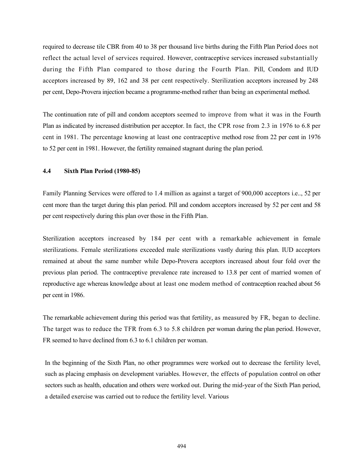required to decrease tile CBR from 40 to 38 per thousand live births during the Fifth Plan Period does not reflect the actual level of services required. However, contraceptive services increased substantially during the Fifth Plan compared to those during the Fourth Plan. Pill, Condom and IUD acceptors increased by 89, 162 and 38 per cent respectively. Sterilization acceptors increased by 248 per cent, Depo-Provera injection became a programme-method rather than being an experimental method.

The continuation rate of pill and condom acceptors seemed to improve from what it was in the Fourth Plan as indicated by increased distribution per acceptor. In fact, the CPR rose from 2.3 in 1976 to 6.8 per cent in 1981. The percentage knowing at least one contraceptive method rose from 22 per cent in 1976 to 52 per cent in 1981. However, the fertility remained stagnant during the plan period.

# 4.4 Sixth Plan Period (1980-85)

Family Planning Services were offered to 1.4 million as against a target of 900,000 acceptors i.e.., 52 per cent more than the target during this plan period. Pill and condom acceptors increased by 52 per cent and 58 per cent respectively during this plan over those in the Fifth Plan.

Sterilization acceptors increased by 184 per cent with a remarkable achievement in female sterilizations. Female sterilizations exceeded male sterilizations vastly during this plan. IUD acceptors remained at about the same number while Depo-Provera acceptors increased about four fold over the previous plan period. The contraceptive prevalence rate increased to 13.8 per cent of married women of reproductive age whereas knowledge about at least one modem method of contraception reached about 56 per cent in 1986.

The remarkable achievement during this period was that fertility, as measured by FR, began to decline. The target was to reduce the TFR from 6.3 to 5.8 children per woman during the plan period. However, FR seemed to have declined from 6.3 to 6.1 children per woman.

In the beginning of the Sixth Plan, no other programmes were worked out to decrease the fertility level, such as placing emphasis on development variables. However, the effects of population control on other sectors such as health, education and others were worked out. During the mid-year of the Sixth Plan period, a detailed exercise was carried out to reduce the fertility level. Various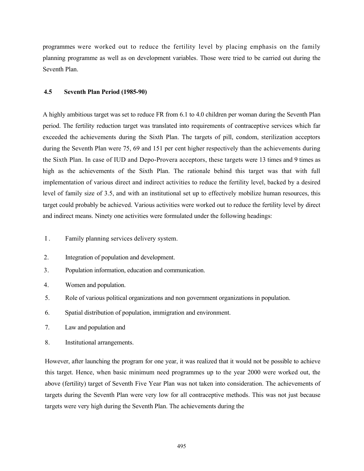programmes were worked out to reduce the fertility level by placing emphasis on the family planning programme as well as on development variables. Those were tried to be carried out during the Seventh Plan.

### 4.5 Seventh Plan Period (1985-90)

A highly ambitious target was set to reduce FR from 6.1 to 4.0 children per woman during the Seventh Plan period. The fertility reduction target was translated into requirements of contraceptive services which far exceeded the achievements during the Sixth Plan. The targets of pill, condom, sterilization acceptors during the Seventh Plan were 75, 69 and 151 per cent higher respectively than the achievements during the Sixth Plan. In case of IUD and Depo-Provera acceptors, these targets were 13 times and 9 times as high as the achievements of the Sixth Plan. The rationale behind this target was that with full implementation of various direct and indirect activities to reduce the fertility level, backed by a desired level of family size of 3.5, and with an institutional set up to effectively mobilize human resources, this target could probably be achieved. Various activities were worked out to reduce the fertility level by direct and indirect means. Ninety one activities were formulated under the following headings:

- I . Family planning services delivery system.
- 2. Integration of population and development.
- 3. Population information, education and communication.
- 4. Women and population.
- 5. Role of various political organizations and non government organizations in population.
- 6. Spatial distribution of population, immigration and environment.
- 7. Law and population and
- 8. Institutional arrangements.

However, after launching the program for one year, it was realized that it would not be possible to achieve this target. Hence, when basic minimum need programmes up to the year 2000 were worked out, the above (fertility) target of Seventh Five Year Plan was not taken into consideration. The achievements of targets during the Seventh Plan were very low for all contraceptive methods. This was not just because targets were very high during the Seventh Plan. The achievements during the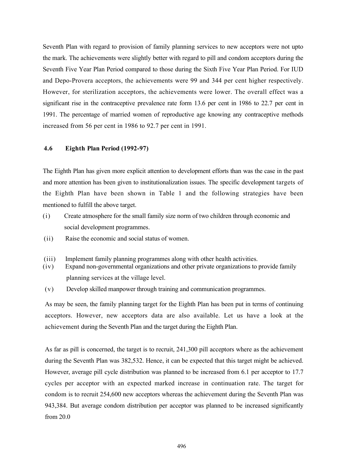Seventh Plan with regard to provision of family planning services to new acceptors were not upto the mark. The achievements were slightly better with regard to pill and condom acceptors during the Seventh Five Year Plan Period compared to those during the Sixth Five Year Plan Period. For IUD and Depo-Provera acceptors, the achievements were 99 and 344 per cent higher respectively. However, for sterilization acceptors, the achievements were lower. The overall effect was a significant rise in the contraceptive prevalence rate form 13.6 per cent in 1986 to 22.7 per cent in 1991. The percentage of married women of reproductive age knowing any contraceptive methods increased from 56 per cent in 1986 to 92.7 per cent in 1991.

#### 4.6 Eighth Plan Period (1992-97)

The Eighth Plan has given more explicit attention to development efforts than was the case in the past and more attention has been given to institutionalization issues. The specific development targets of the Eighth Plan have been shown in Table 1 and the following strategies have been mentioned to fulfill the above target.

- (i) Create atmosphere for the small family size norm of two children through economic and social development programmes.
- (ii) Raise the economic and social status of women.
- (iii) Implement family planning programmes along with other health activities.
- (iv) Expand non-governmental organizations and other private organizations to provide family planning services at the village level.
- (v) Develop skilled manpower through training and communication programmes.

As may be seen, the family planning target for the Eighth Plan has been put in terms of continuing acceptors. However, new acceptors data are also available. Let us have a look at the achievement during the Seventh Plan and the target during the Eighth Plan.

As far as pill is concerned, the target is to recruit, 241,300 pill acceptors where as the achievement during the Seventh Plan was 382,532. Hence, it can be expected that this target might be achieved. However, average pill cycle distribution was planned to be increased from 6.1 per acceptor to 17.7 cycles per acceptor with an expected marked increase in continuation rate. The target for condom is to recruit 254,600 new acceptors whereas the achievement during the Seventh Plan was 943,384. But average condom distribution per acceptor was planned to be increased significantly from 20.0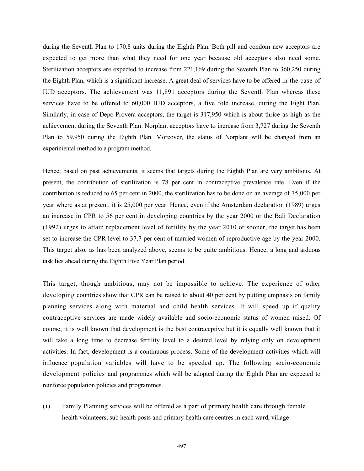during the Seventh Plan to 170.8 units during the Eighth Plan. Both pill and condom new acceptors are expected to get more than what they need for one year because old acceptors also need some. Sterilization acceptors are expected to increase from 221,169 during the Seventh Plan to 360,250 during the Eighth Plan, which is a significant increase. A great deal of services have to be offered in the case of IUD acceptors. The achievement was 11,891 acceptors during the Seventh Plan whereas these services have to be offered to 60,000 IUD acceptors, a five fold increase, during the Eight Plan. Similarly, in case of Depo-Provera acceptors, the target is 317,950 which is about thrice as high as the achievement during the Seventh Plan. Norplant acceptors have to increase from 3,727 during the Seventh Plan to 59,950 during the Eighth Plan. Moreover, the status of Norplant will be changed from an experimental method to a program method.

Hence, based on past achievements, it seems that targets during the Eighth Plan are very ambitious. At present, the contribution of sterilization is 78 per cent in contraceptive prevalence rate. Even if the contribution is reduced to 65 per cent in 2000, the sterilization has to be done on an average of 75,000 per year where as at present, it is 25,000 per year. Hence, even if the Amsterdam declaration (1989) urges an increase in CPR to 56 per cent in developing countries by the year 2000 or the Bali Declaration (1992) urges to attain replacement level of fertility by the year 2010 or sooner, the target has been set to increase the CPR level to 37.7 per cent of married women of reproductive age by the year 2000. This target also, as has been analyzed above, seems to be quite ambitious. Hence, a long and arduous task lies ahead during the Eighth Five Year Plan period.

This target, though ambitious, may not be impossible to achieve. The experience of other developing countries show that CPR can be raised to about 40 per cent by putting emphasis on family planning services along with maternal and child health services. It will speed up if quality contraceptive services are made widely available and socio-economic status of women raised. Of course, it is well known that development is the best contraceptive but it is equally well known that it will take a long time to decrease fertility level to a desired level by relying only on development activities. In fact, development is a continuous process. Some of the development activities which will influence population variables will have to be speeded up. The following socio-economic development policies and programmes which will be adopted during the Eighth Plan are expected to reinforce population policies and programmes.

(i) Family Planning services will be offered as a part of primary health care through female health volunteers, sub health posts and primary health care centres in each ward, village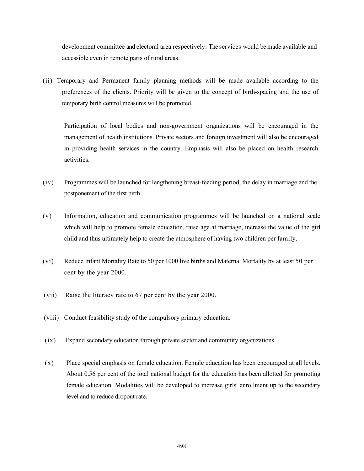development committee and electoral area respectively. The services would be made available and accessible even in remote parts of rural areas.

(ii) Temporary and Permanent family planning methods will be made available according to the preferences of the clients. Priority will be given to the concept of birth-spacing and the use of temporary birth control measures will be promoted.

Participation of local bodies and non-government organizations will be encouraged in the management of health institutions. Private sectors and foreign investment will also be encouraged in providing health services in the country. Emphasis will also be placed on health research activities.

- (iv) Programmes will be launched for lengthening breast-feeding period, the delay in marriage and the postponement of the first birth.
- (v) Information, education and communication programmes will be launched on a national scale which will help to promote female education, raise age at marriage, increase the value of the girl child and thus ultimately help to create the atmosphere of having two children per family.
- (vi) Reduce Infant Mortality Rate to 50 per 1000 live births and Maternal Mortality by at least 50 per cent by the year 2000.
- (vii) Raise the literacy rate to 67 per cent by the year 2000.
- (viii) Conduct feasibility study of the compulsory primary education.
- (ix) Expand secondary education through private sector and community organizations.
- (x) Place special emphasis on female education. Female education has been encouraged at all levels. About 0.56 per cent of the total national budget for the education has been allotted for promoting female education. Modalities will be developed to increase girls' enrollment up to the secondary level and to reduce dropout rate.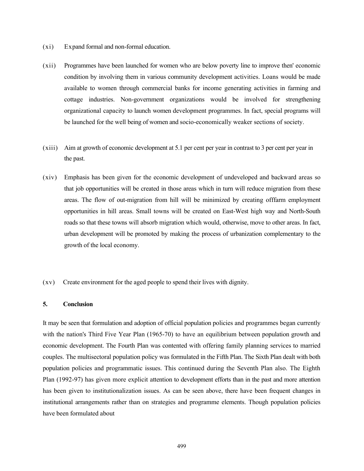- (xi) Expand formal and non-formal education.
- (xii) Programmes have been launched for women who are below poverty line to improve then' economic condition by involving them in various community development activities. Loans would be made available to women through commercial banks for income generating activities in farming and cottage industries. Non-government organizations would be involved for strengthening organizational capacity to launch women development programmes. In fact, special programs will be launched for the well being of women and socio-economically weaker sections of society.
- (xiii) Aim at growth of economic development at 5.1 per cent per year in contrast to 3 per cent per year in the past.
- (xiv) Emphasis has been given for the economic development of undeveloped and backward areas so that job opportunities will be created in those areas which in turn will reduce migration from these areas. The flow of out-migration from hill will be minimized by creating offfarm employment opportunities in hill areas. Small towns will be created on East-West high way and North-South roads so that these towns will absorb migration which would, otherwise, move to other areas. In fact, urban development will be promoted by making the process of urbanization complementary to the growth of the local economy.
- (xv) Create environment for the aged people to spend their lives with dignity.

# 5. Conclusion

It may be seen that formulation and adoption of official population policies and programmes began currently with the nation's Third Five Year Plan (1965-70) to have an equilibrium between population growth and economic development. The Fourth Plan was contented with offering family planning services to married couples. The multisectoral population policy was formulated in the Fifth Plan. The Sixth Plan dealt with both population policies and programmatic issues. This continued during the Seventh Plan also. The Eighth Plan (1992-97) has given more explicit attention to development efforts than in the past and more attention has been given to institutionalization issues. As can be seen above, there have been frequent changes in institutional arrangements rather than on strategies and programme elements. Though population policies have been formulated about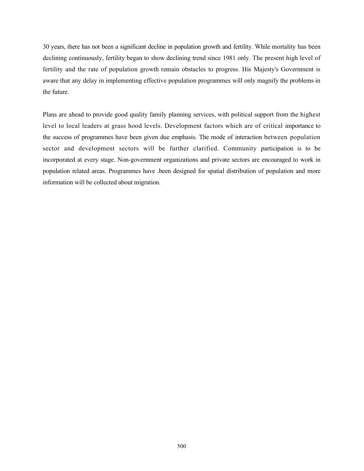30 years, there has not been a significant decline in population growth and fertility. While mortality has been declining continuously, fertility began to show declining trend since 1981 only. The present high level of fertility and the rate of population growth remain obstacles to progress. His Majesty's Government is aware that any delay in implementing effective population programmes will only magnify the problems in the future.

Plans are ahead to provide good quality family planning services, with political support from the highest level to local leaders at grass hood levels. Development factors which are of critical importance to the success of programmes have been given due emphasis. The mode of interaction between population sector and development sectors will be further clarified. Community participation is to be incorporated at every stage. Non-government organizations and private sectors are encouraged to work in population related areas. Programmes have .been designed for spatial distribution of population and more information will be collected about migration.